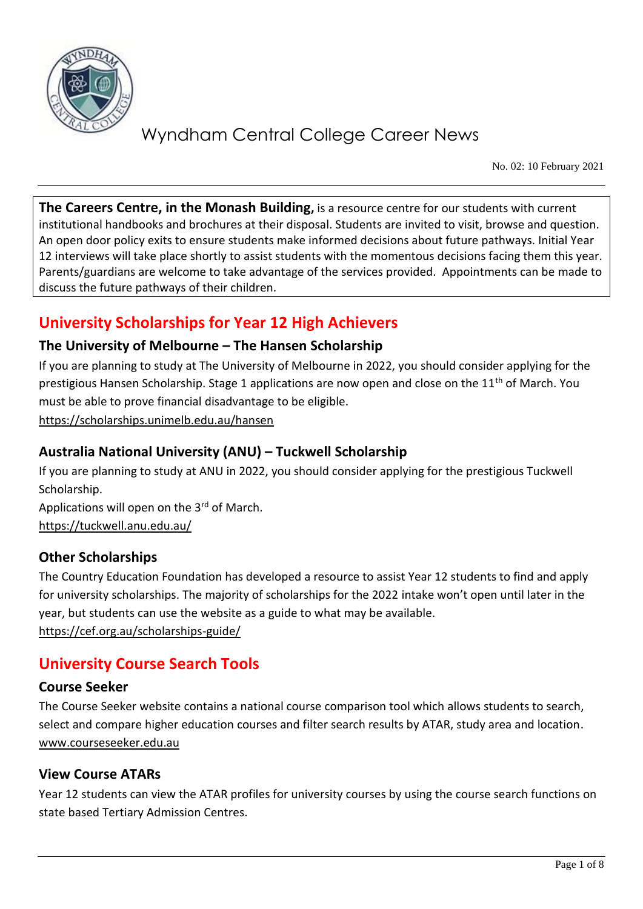

No. 02: 10 February 2021

**The Careers Centre, in the Monash Building,** is a resource centre for our students with current institutional handbooks and brochures at their disposal. Students are invited to visit, browse and question. An open door policy exits to ensure students make informed decisions about future pathways. Initial Year 12 interviews will take place shortly to assist students with the momentous decisions facing them this year. Parents/guardians are welcome to take advantage of the services provided. Appointments can be made to discuss the future pathways of their children.

## **University Scholarships for Year 12 High Achievers**

### **The University of Melbourne – The Hansen Scholarship**

If you are planning to study at The University of Melbourne in 2022, you should consider applying for the prestigious Hansen Scholarship. Stage 1 applications are now open and close on the 11<sup>th</sup> of March. You must be able to prove financial disadvantage to be eligible.

<https://scholarships.unimelb.edu.au/hansen>

### **Australia National University (ANU) – Tuckwell Scholarship**

If you are planning to study at ANU in 2022, you should consider applying for the prestigious Tuckwell Scholarship.

Applications will open on the  $3<sup>rd</sup>$  of March. <https://tuckwell.anu.edu.au/>

### **Other Scholarships**

The Country Education Foundation has developed a resource to assist Year 12 students to find and apply for university scholarships. The majority of scholarships for the 2022 intake won't open until later in the year, but students can use the website as a guide to what may be available. <https://cef.org.au/scholarships-guide/>

## **University Course Search Tools**

#### **Course Seeker**

The Course Seeker website contains a national course comparison tool which allows students to search, select and compare higher education courses and filter search results by ATAR, study area and location. [www.courseseeker.edu.au](http://www.courseseeker.edu.au/)

### **View Course ATARs**

Year 12 students can view the ATAR profiles for university courses by using the course search functions on state based Tertiary Admission Centres.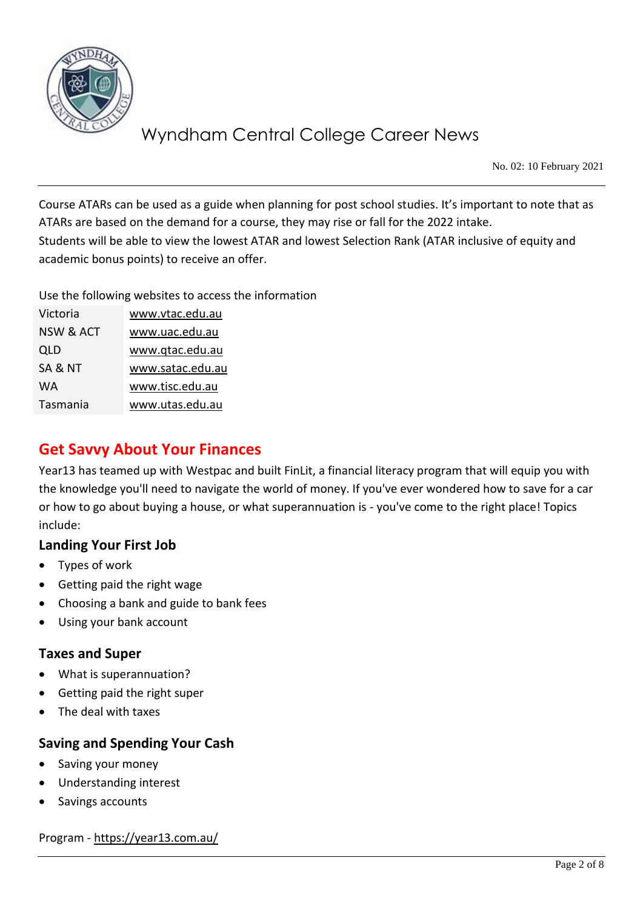

No. 02: 10 February 2021

Course ATARs can be used as a guide when planning for post school studies. It's important to note that as ATARs are based on the demand for a course, they may rise or fall for the 2022 intake. Students will be able to view the lowest ATAR and lowest Selection Rank (ATAR inclusive of equity and academic bonus points) to receive an offer.

Use the following websites to access the information

| Victoria             | www.vtac.edu.au  |
|----------------------|------------------|
| <b>NSW &amp; ACT</b> | www.uac.edu.au   |
| QLD                  | www.gtac.edu.au  |
| SA & NT              | www.satac.edu.au |
| WA                   | www.tisc.edu.au  |
| Tasmania             | www.utas.edu.au  |

## **Get Savvy About Your Finances**

Year13 has teamed up with Westpac and built FinLit, a financial literacy program that will equip you with the knowledge you'll need to navigate the world of money. If you've ever wondered how to save for a car or how to go about buying a house, or what superannuation is - you've come to the right place! Topics include:

### **Landing Your First Job**

- Types of work
- Getting paid the right wage
- Choosing a bank and guide to bank fees
- Using your bank account

#### **Taxes and Super**

- What is superannuation?
- Getting paid the right super
- The deal with taxes

### **Saving and Spending Your Cash**

- Saving your money
- Understanding interest
- Savings accounts

Program - <https://year13.com.au/>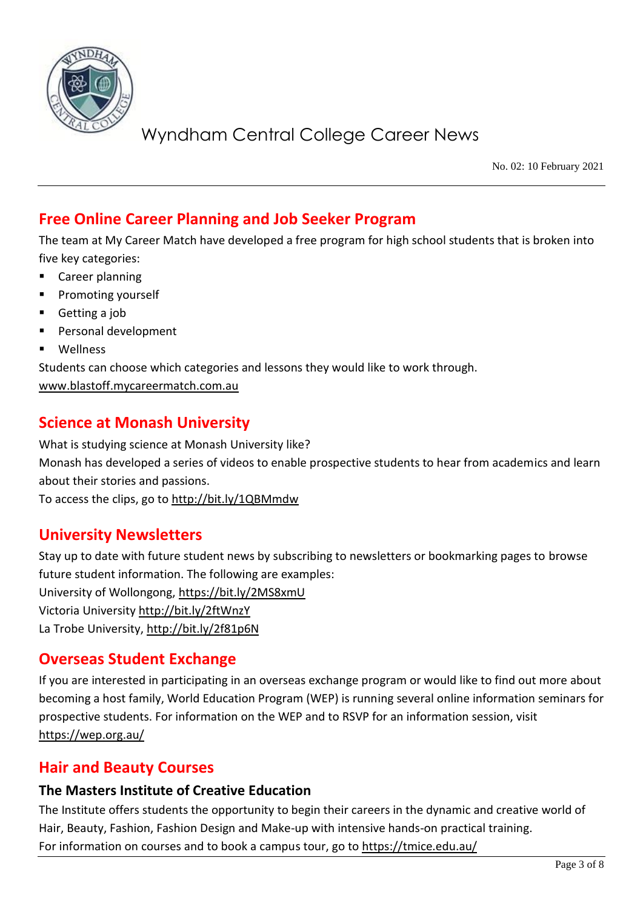

No. 02: 10 February 2021

## **Free Online Career Planning and Job Seeker Program**

The team at My Career Match have developed a free program for high school students that is broken into five key categories:

- Career planning
- Promoting yourself
- Getting a job
- Personal development
- **Wellness**

Students can choose which categories and lessons they would like to work through.

[www.blastoff.mycareermatch.com.au](http://www.blastoff.mycareermatch.com.au/)

## **Science at Monash University**

What is studying science at Monash University like? Monash has developed a series of videos to enable prospective students to hear from academics and learn about their stories and passions.

To access the clips, go to<http://bit.ly/1QBMmdw>

## **University Newsletters**

Stay up to date with future student news by subscribing to newsletters or bookmarking pages to browse future student information. The following are examples: University of Wollongong,<https://bit.ly/2MS8xmU> Victoria University<http://bit.ly/2ftWnzY> La Trobe University,<http://bit.ly/2f81p6N>

### **Overseas Student Exchange**

If you are interested in participating in an overseas exchange program or would like to find out more about becoming a host family, World Education Program (WEP) is running several online information seminars for prospective students. For information on the WEP and to RSVP for an information session, visit <https://wep.org.au/>

## **Hair and Beauty Courses**

#### **The Masters Institute of Creative Education**

The Institute offers students the opportunity to begin their careers in the dynamic and creative world of Hair, Beauty, Fashion, Fashion Design and Make-up with intensive hands-on practical training. For information on courses and to book a campus tour, go to<https://tmice.edu.au/>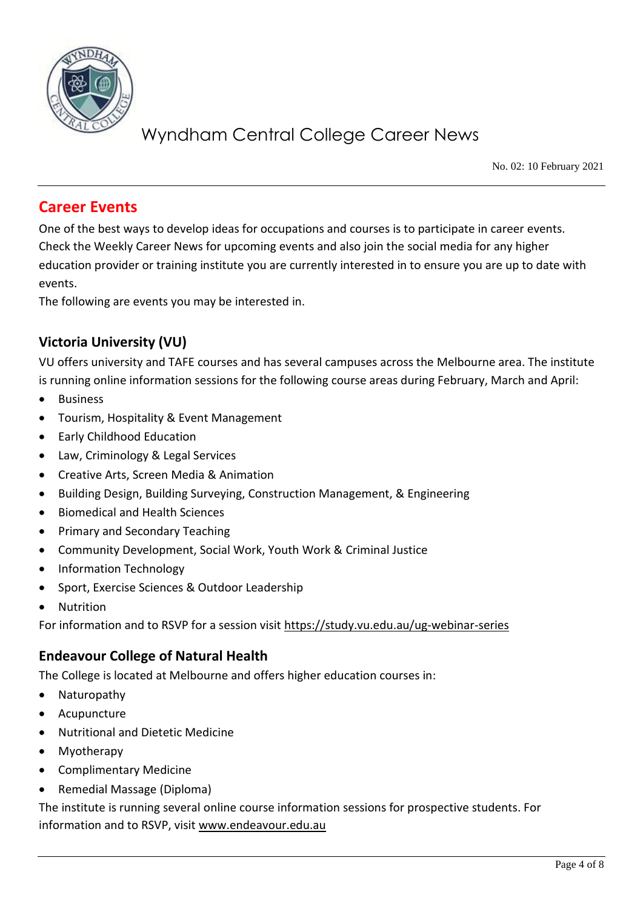

No. 02: 10 February 2021

## **Career Events**

One of the best ways to develop ideas for occupations and courses is to participate in career events. Check the Weekly Career News for upcoming events and also join the social media for any higher education provider or training institute you are currently interested in to ensure you are up to date with events.

The following are events you may be interested in.

### **Victoria University (VU)**

VU offers university and TAFE courses and has several campuses across the Melbourne area. The institute is running online information sessions for the following course areas during February, March and April:

- **Business**
- Tourism, Hospitality & Event Management
- Early Childhood Education
- Law, Criminology & Legal Services
- Creative Arts, Screen Media & Animation
- Building Design, Building Surveying, Construction Management, & Engineering
- Biomedical and Health Sciences
- Primary and Secondary Teaching
- Community Development, Social Work, Youth Work & Criminal Justice
- Information Technology
- Sport, Exercise Sciences & Outdoor Leadership
- **Nutrition**

For information and to RSVP for a session visit<https://study.vu.edu.au/ug-webinar-series>

### **Endeavour College of Natural Health**

The College is located at Melbourne and offers higher education courses in:

- Naturopathy
- Acupuncture
- Nutritional and Dietetic Medicine
- Myotherapy
- Complimentary Medicine
- Remedial Massage (Diploma)

The institute is running several online course information sessions for prospective students. For information and to RSVP, visit [www.endeavour.edu.au](http://www.endeavour.edu.au/)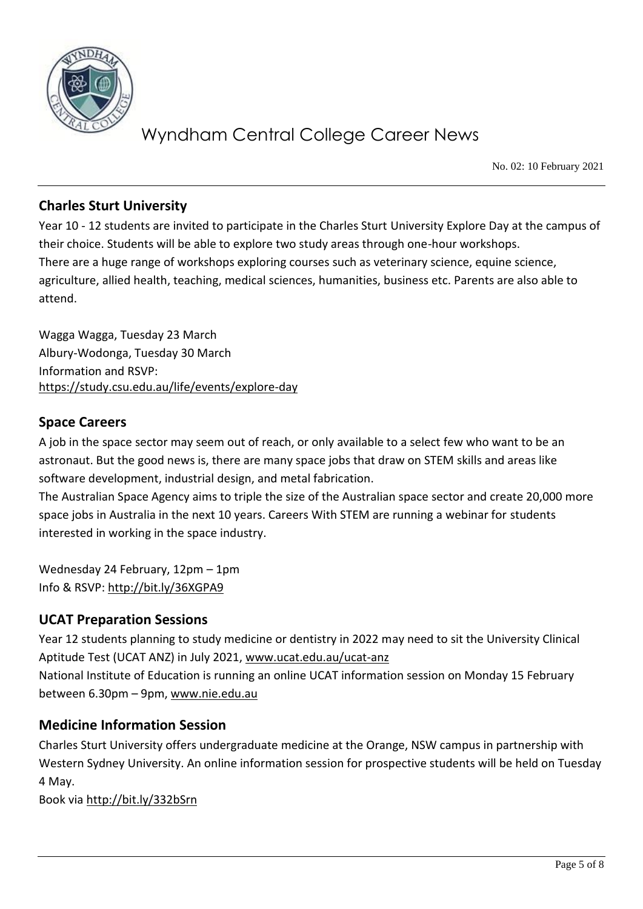

No. 02: 10 February 2021

### **Charles Sturt University**

Year 10 - 12 students are invited to participate in the Charles Sturt University Explore Day at the campus of their choice. Students will be able to explore two study areas through one-hour workshops. There are a huge range of workshops exploring courses such as veterinary science, equine science, agriculture, allied health, teaching, medical sciences, humanities, business etc. Parents are also able to attend.

Wagga Wagga, Tuesday 23 March Albury-Wodonga, Tuesday 30 March Information and RSVP: <https://study.csu.edu.au/life/events/explore-day>

#### **Space Careers**

A job in the space sector may seem out of reach, or only available to a select few who want to be an astronaut. But the good news is, there are many space jobs that draw on STEM skills and areas like software development, industrial design, and metal fabrication.

The Australian Space Agency aims to triple the size of the Australian space sector and create 20,000 more space jobs in Australia in the next 10 years. Careers With STEM are running a webinar for students interested in working in the space industry.

Wednesday 24 February, 12pm – 1pm Info & RSVP:<http://bit.ly/36XGPA9>

### **UCAT Preparation Sessions**

Year 12 students planning to study medicine or dentistry in 2022 may need to sit the University Clinical Aptitude Test (UCAT ANZ) in July 2021, [www.ucat.edu.au/ucat-anz](http://www.ucat.edu.au/ucat-anz) National Institute of Education is running an online UCAT information session on Monday 15 February between 6.30pm – 9pm, [www.nie.edu.au](http://www.nie.edu.au/)

#### **Medicine Information Session**

Charles Sturt University offers undergraduate medicine at the Orange, NSW campus in partnership with Western Sydney University. An online information session for prospective students will be held on Tuesday 4 May.

Book via<http://bit.ly/332bSrn>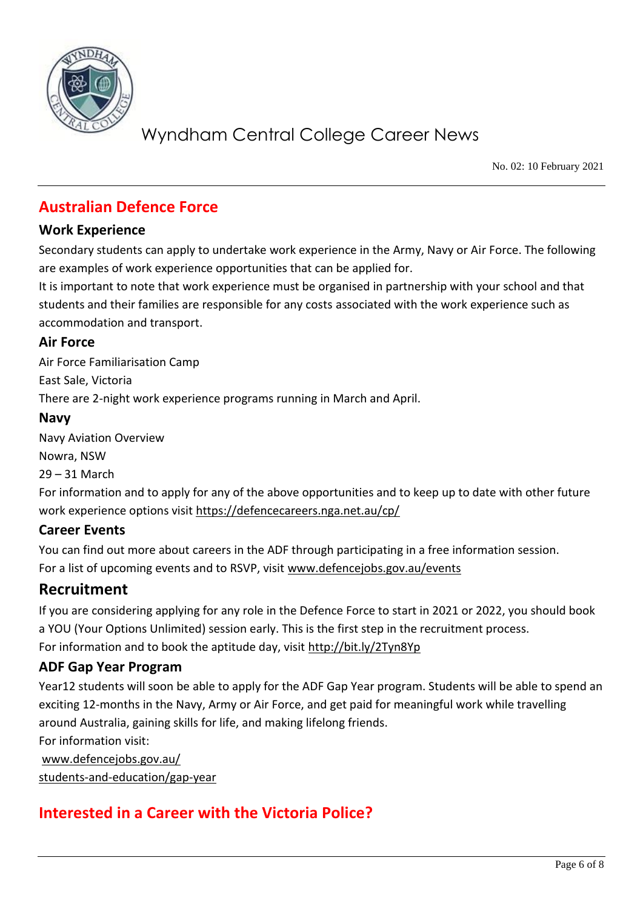

No. 02: 10 February 2021

## **Australian Defence Force**

#### **Work Experience**

Secondary students can apply to undertake work experience in the Army, Navy or Air Force. The following are examples of work experience opportunities that can be applied for.

It is important to note that work experience must be organised in partnership with your school and that students and their families are responsible for any costs associated with the work experience such as accommodation and transport.

#### **Air Force**

Air Force Familiarisation Camp East Sale, Victoria There are 2-night work experience programs running in March and April.

#### **Navy**

Navy Aviation Overview Nowra, NSW 29 – 31 March

For information and to apply for any of the above opportunities and to keep up to date with other future work experience options visit<https://defencecareers.nga.net.au/cp/>

#### **Career Events**

You can find out more about careers in the ADF through participating in a free information session. For a list of upcoming events and to RSVP, visit [www.defencejobs.gov.au/events](http://www.defencejobs.gov.au/events)

## **Recruitment**

If you are considering applying for any role in the Defence Force to start in 2021 or 2022, you should book a YOU (Your Options Unlimited) session early. This is the first step in the recruitment process. For information and to book the aptitude day, visit<http://bit.ly/2Tyn8Yp>

### **ADF Gap Year Program**

Year12 students will soon be able to apply for the ADF Gap Year program. Students will be able to spend an exciting 12-months in the Navy, Army or Air Force, and get paid for meaningful work while travelling around Australia, gaining skills for life, and making lifelong friends. For information visit:

[www.defencejobs.gov.au/](http://www.defencejobs.gov.au/students-and-education/gap-year) [students-and-education/gap-year](http://www.defencejobs.gov.au/students-and-education/gap-year)

## **Interested in a Career with the Victoria Police?**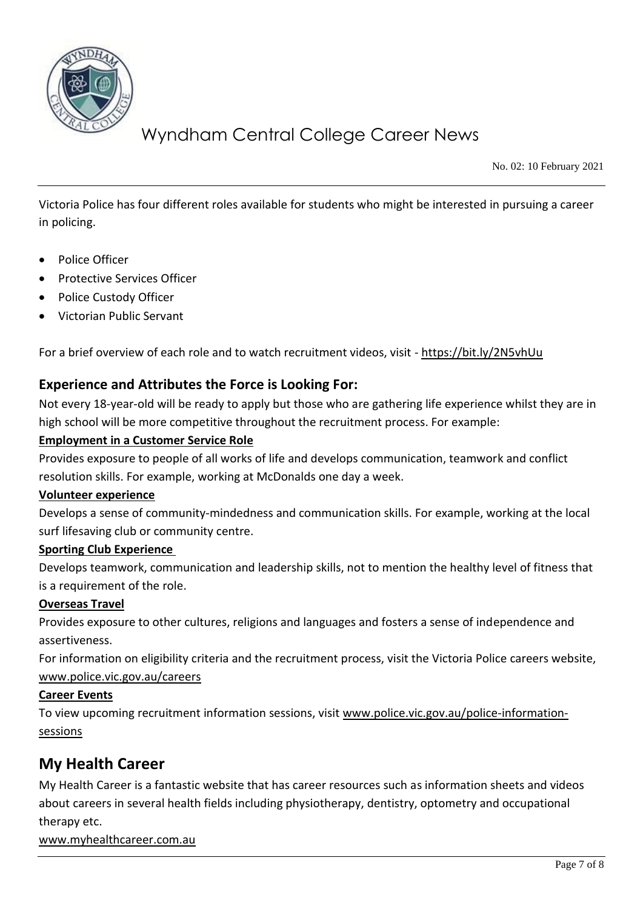

No. 02: 10 February 2021

Victoria Police has four different roles available for students who might be interested in pursuing a career in policing.

- Police Officer
- Protective Services Officer
- Police Custody Officer
- Victorian Public Servant

For a brief overview of each role and to watch recruitment videos, visit - <https://bit.ly/2N5vhUu>

#### **Experience and Attributes the Force is Looking For:**

Not every 18-year-old will be ready to apply but those who are gathering life experience whilst they are in high school will be more competitive throughout the recruitment process. For example:

#### **Employment in a Customer Service Role**

Provides exposure to people of all works of life and develops communication, teamwork and conflict resolution skills. For example, working at McDonalds one day a week.

#### **Volunteer experience**

Develops a sense of community-mindedness and communication skills. For example, working at the local surf lifesaving club or community centre.

#### **Sporting Club Experience**

Develops teamwork, communication and leadership skills, not to mention the healthy level of fitness that is a requirement of the role.

#### **Overseas Travel**

Provides exposure to other cultures, religions and languages and fosters a sense of independence and assertiveness.

For information on eligibility criteria and the recruitment process, visit the Victoria Police careers website, [www.police.vic.gov.au/careers](http://www.police.vic.gov.au/careers)

#### **Career Events**

To view upcoming recruitment information sessions, visit [www.police.vic.gov.au/police-information](http://www.police.vic.gov.au/police-information-sessions)[sessions](http://www.police.vic.gov.au/police-information-sessions)

## **My Health Career**

My Health Career is a fantastic website that has career resources such as information sheets and videos about careers in several health fields including physiotherapy, dentistry, optometry and occupational therapy etc.

[www.myhealthcareer.com.au](http://www.myhealthcareer.com.au/)